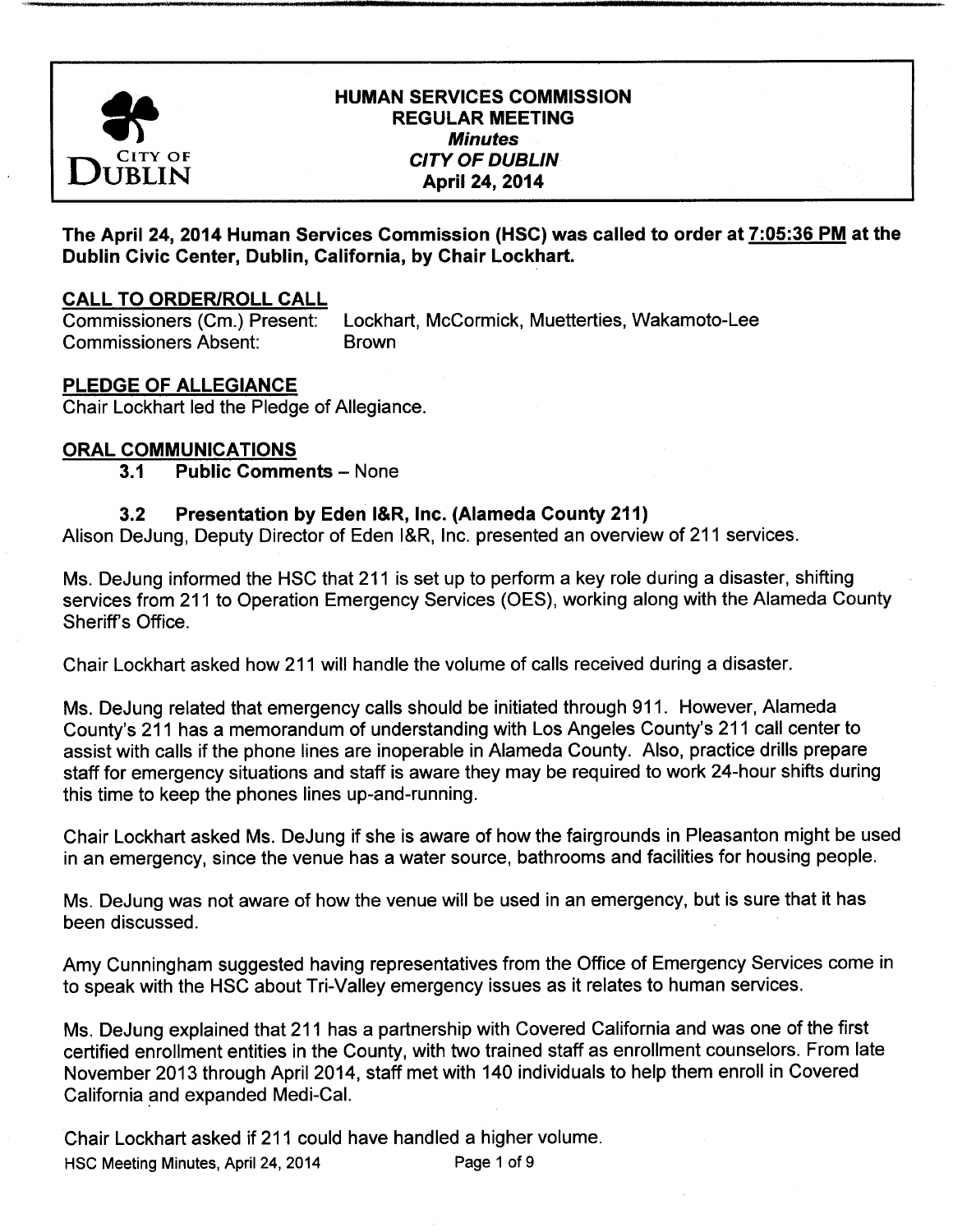

## HUMAN SERVICES COMMISSION REGULAR MEETING **Minutes** TY OF CITY OF DUBLIN April 24, 2014

The April 24, 2014 Human Services Commission (HSC) was called to order at 7: 05: 36 PM at the Dublin Civic Center, Dublin, California, by Chair Lockhart.

## **CALL TO ORDER/ROLL CALL**

Commissioners ( Cm.) Present: Lockhart, McCormick, Muetterties, Wakamoto-Lee Commissioners Absent: Brown

# PLEDGE OF ALLEGIANCE

Chair Lockhart led the Pledge of Allegiance.

## ORAL COMMUNICATIONS

## 3.1 Public Comments - None

## 3.2 Presentation by Eden I&R, Inc. (Alameda County 211)

Alison DeJung, Deputy Director of Eden I&R, Inc. presented an overview of 211 services.

Ms. DeJung informed the HSC that 211 is set up to perform a key role during a disaster, shifting services from 211 to Operation Emergency Services (OES), working along with the Alameda County Sheriff's Office.

Chair Lockhart asked how 211 will handle the volume of calls received during a disaster.

Ms. DeJung related that emergency calls should be initiated through 911. However, Alameda County's 211 has a memorandum of understanding with Los Angeles County's 211 call center to assist with calls if the phone lines are inoperable in Alameda County. Also, practice drills prepare staff for emergency situations and staff is aware they may be required to work 24-hour shifts during this time to keep the phones lines up-and-running.

Chair Lockhart asked Ms. DeJung if she is aware of how the fairgrounds in Pleasanton might be used in an emergency, since the venue has a water source, bathrooms and facilities for housing people.

Ms. DeJung was not aware of how the venue will be used in an emergency, but is sure that it has been discussed.

Amy Cunningham suggested having representatives from the Office of Emergency Services come in to speak with the HSC about Tri-Valley emergency issues as it relates to human services.

Ms. DeJung explained that 211 has a partnership with Covered California and was one of the first certified enrollment entities in the County, with two trained staff as enrollment counselors. From late November 2013 through April 2014, staff met with 140 individuals to help them enroll in Covered California and expanded Medi-Cal.

Chair Lockhart asked if 211 could have handled a higher volume. HSC Meeting Minutes, April 24, 2014 Page 1 of 9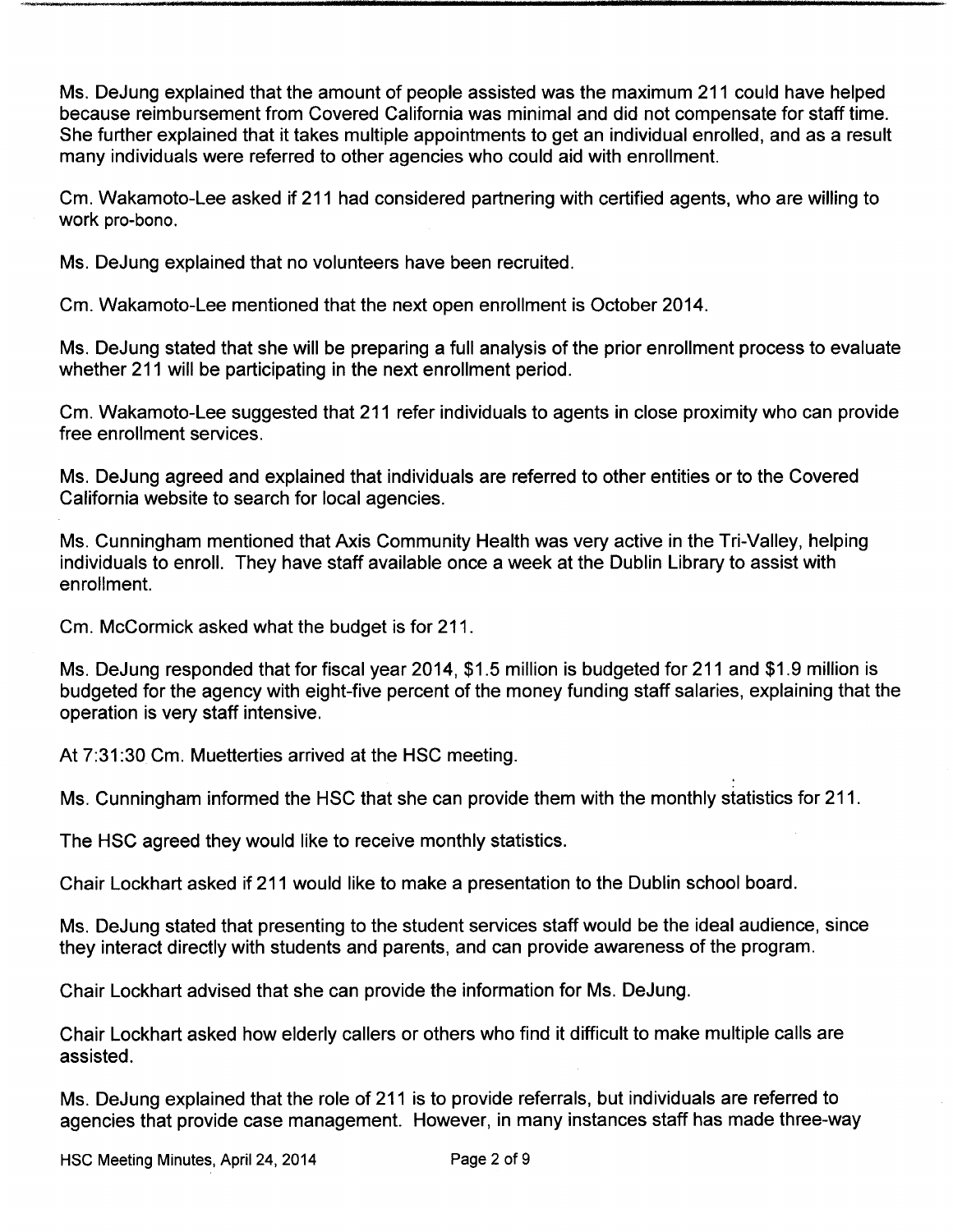Ms. DeJung explained that the amount of people assisted was the maximum 211 could have helped because reimbursement from Covered California was minimal and did not compensate for staff time. She further explained that it takes multiple appointments to get an individual enrolled, and as a result many individuals were referred to other agencies who could aid with enrollment.

Cm. Wakamoto- Lee asked if 211 had considered partnering with certified agents, who are willing to work pro-bono.

Ms. DeJung explained that no volunteers have been recruited.

Cm. Wakamoto- Lee mentioned that the next open enrollment is October 2014.

Ms. DeJung stated that she will be preparing a full analysis of the prior enrollment process to evaluate whether 211 will be participating in the next enrollment period.

Cm. Wakamoto- Lee suggested that 211 refer individuals to agents in close proximity who can provide free enrollment services.

Ms. DeJung agreed and explained that individuals are referred to other entities or to the Covered California website to search for local agencies.

Ms. Cunningham mentioned that Axis Community Health was very active in the Tri-Valley, helping individuals to enroll. They have staff available once <sup>a</sup> week at the Dublin Library to assist with enrollment.

Cm. McCormick asked what the budget is for 211.

Ms. DeJung responded that for fiscal year 2014, \$1.5 million is budgeted for 211 and \$1.9 million is budgeted for the agency with eight-five percent of the money funding staff salaries, explaining that the operation is very staff intensive.

At 7:31:30 Cm. Muetterties arrived at the HSC meeting.

Ms. Cunningham informed the HSC that she can provide them with the monthly statistics for 211.

The HSC agreed they would like to receive monthly statistics.

Chair Lockhart asked if 211 would like to make a presentation to the Dublin school board.

Ms. DeJung stated that presenting to the student services staff would be the ideal audience, since they interact directly with students and parents, and can provide awareness of the program.

Chair Lockhart advised that she can provide the information for Ms. DeJung.

Chair Lockhart asked how elderly callers or others who find it difficult to make multiple calls are assisted.

Ms. DeJung explained that the role of 211 is to provide referrals, but individuals are referred to agencies that provide case management. However, in many instances staff has made three-way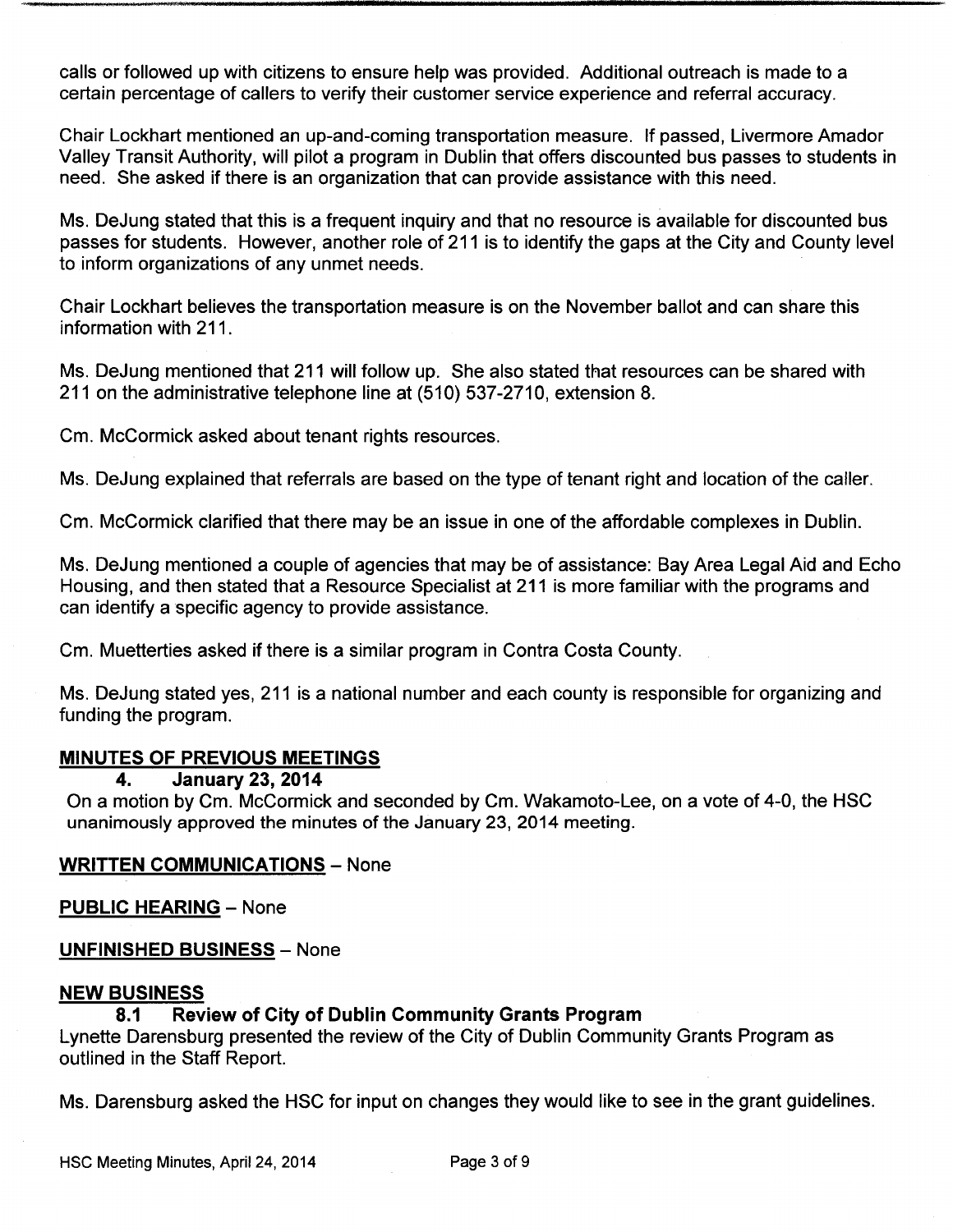calls or followed up with citizens to ensure help was provided. Additional outreach is made to a certain percentage of callers to verify their customer service experience and referral accuracy.

Chair Lockhart mentioned an up-and-coming transportation measure. If passed, Livermore Amador Valley Transit Authority, will pilot a program in Dublin that offers discounted bus passes to students in need. She asked if there is an organization that can provide assistance with this need.

Ms. DeJung stated that this is a frequent inquiry and that no resource is available for discounted bus passes for students. However, another role of 211 is to identify the gaps at the City and County level to inform organizations of any unmet needs.

Chair Lockhart believes the transportation measure is on the November ballot and can share this information with 211.

Ms. DeJung mentioned that 211 will follow up. She also stated that resources can be shared with 211 on the administrative telephone line at (510) 537-2710, extension 8.

Cm. McCormick asked about tenant rights resources.

Ms. DeJung explained that referrals are based on the type of tenant right and location of the caller.

Cm. McCormick clarified that there may be an issue in one of the affordable complexes in Dublin.

Ms. DeJung mentioned a couple of agencies that may be of assistance: Bay Area Legal Aid and Echo Housing, and then stated that a Resource Specialist at 211 is more familiar with the programs and can identify a specific agency to provide assistance.

Cm. Muetterties asked if there is a similar program in Contra Costa County.

Ms. DeJung stated yes, 211 is a national number and each county is responsible for organizing and funding the program.

### MINUTES OF PREVIOUS MEETINGS

#### 4. January 23, 2014

On a motion by Cm. McCormick and seconded by Cm. Wakamoto-Lee, on a vote of 4-0, the HSC unanimously approved the minutes of the January 23, 2014 meeting.

### WRITTEN COMMUNICATIONS — None

PUBLIC HEARING — None

### UNFINISHED BUSINESS — None

#### NEW BUSINESS

### 8.1 Review of City of Dublin Community Grants Program

Lynette Darensburg presented the review of the City of Dublin Community Grants Program as outlined in the Staff Report.

Ms. Darensburg asked the HSC for input on changes they would like to see in the grant guidelines.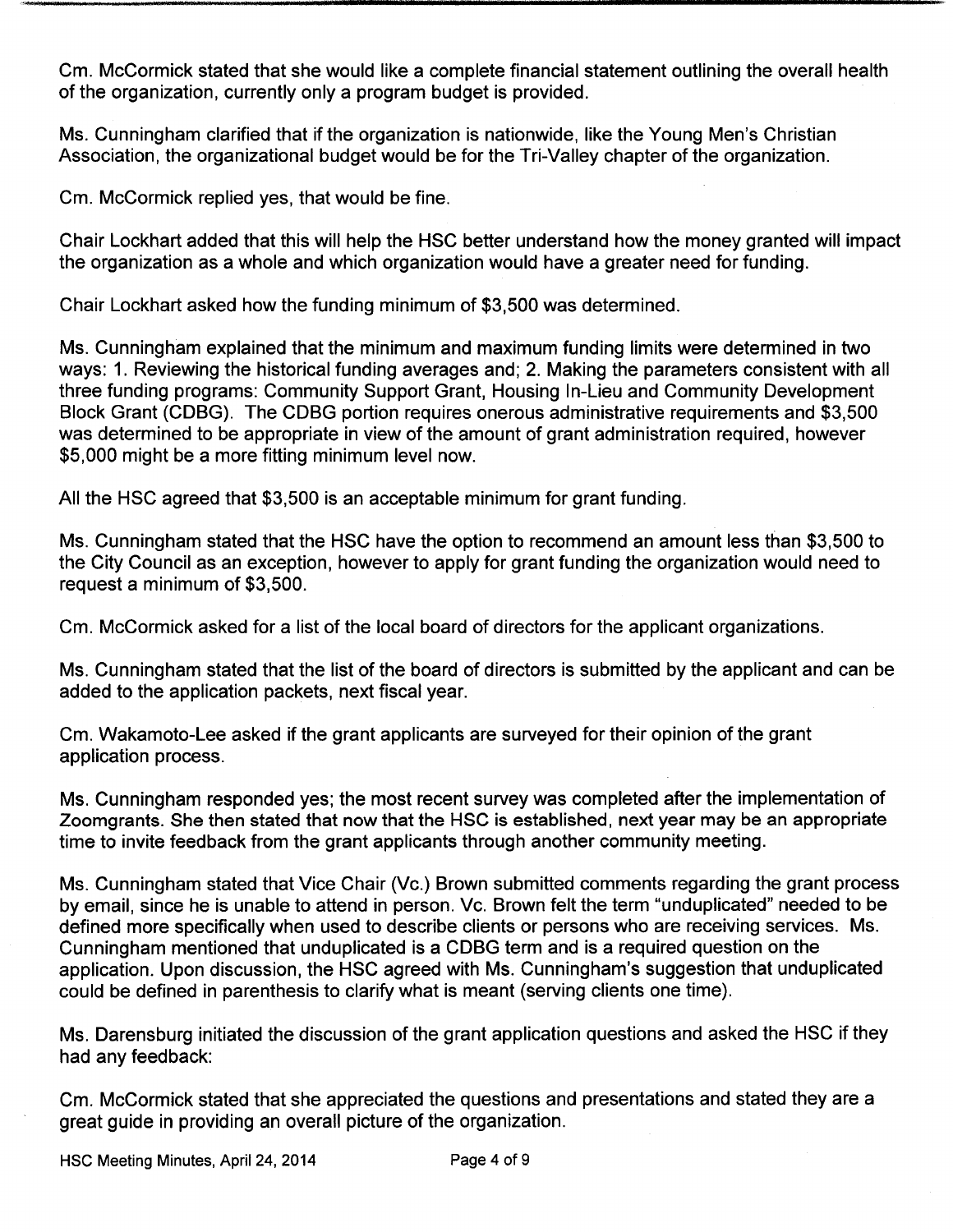Cm. McCormick stated that she would like a complete financial statement outlining the overall health of the organization, currently only a program budget is provided.

Ms. Cunningham clarified that if the organization is nationwide, like the Young Men's Christian Association, the organizational budget would be for the Tri-Valley chapter of the organization.

Cm. McCormick replied yes, that would be fine.

Chair Lockhart added that this will help the HSC better understand how the money granted will impact the organization as a whole and which organization would have a greater need for funding.

Chair Lockhart asked how the funding minimum of \$3,500 was determined.

Ms. Cunningham explained that the minimum and maximum funding limits were determined in two ways: 1. Reviewing the historical funding averages and; 2. Making the parameters consistent with all three funding programs: Community Support Grant, Housing In- Lieu and Community Development Block Grant (CDBG). The CDBG portion requires onerous administrative requirements and \$3,500 was determined to be appropriate in view of the amount of grant administration required, however 5, 000 might be a more fitting minimum level now.

All the HSC agreed that \$3, 500 is an acceptable minimum for grant funding.

Ms. Cunningham stated that the HSC have the option to recommend an amount less than \$3,500 to the City Council as an exception, however to apply for grant funding the organization would need to request a minimum of \$3,500.

Cm. McCormick asked for a list of the local board of directors for the applicant organizations.

Ms. Cunningham stated that the list of the board of directors is submitted by the applicant and can be added to the application packets, next fiscal year.

Cm. Wakamoto-Lee asked if the grant applicants are surveyed for their opinion of the grant application process.

Ms. Cunningham responded yes; the most recent survey was completed after the implementation of Zoomgrants. She then stated that now that the HSC is established, next year may be an appropriate time to invite feedback from the grant applicants through another community meeting.

Ms. Cunningham stated that Vice Chair (Vc.) Brown submitted comments regarding the grant process by email, since he is unable to attend in person. Vc. Brown felt the term "unduplicated" needed to be defined more specifically when used to describe clients or persons who are receiving services. Ms. Cunningham mentioned that unduplicated is a CDBG term and is a required question on the application. Upon discussion, the HSC agreed with Ms. Cunningham's suggestion that unduplicated could be defined in parenthesis to clarify what is meant (serving clients one time).

Ms. Darensburg initiated the discussion of the grant application questions and asked the HSC if they had any feedback:

Cm. McCormick stated that she appreciated the questions and presentations and stated they are a great guide in providing an overall picture of the organization.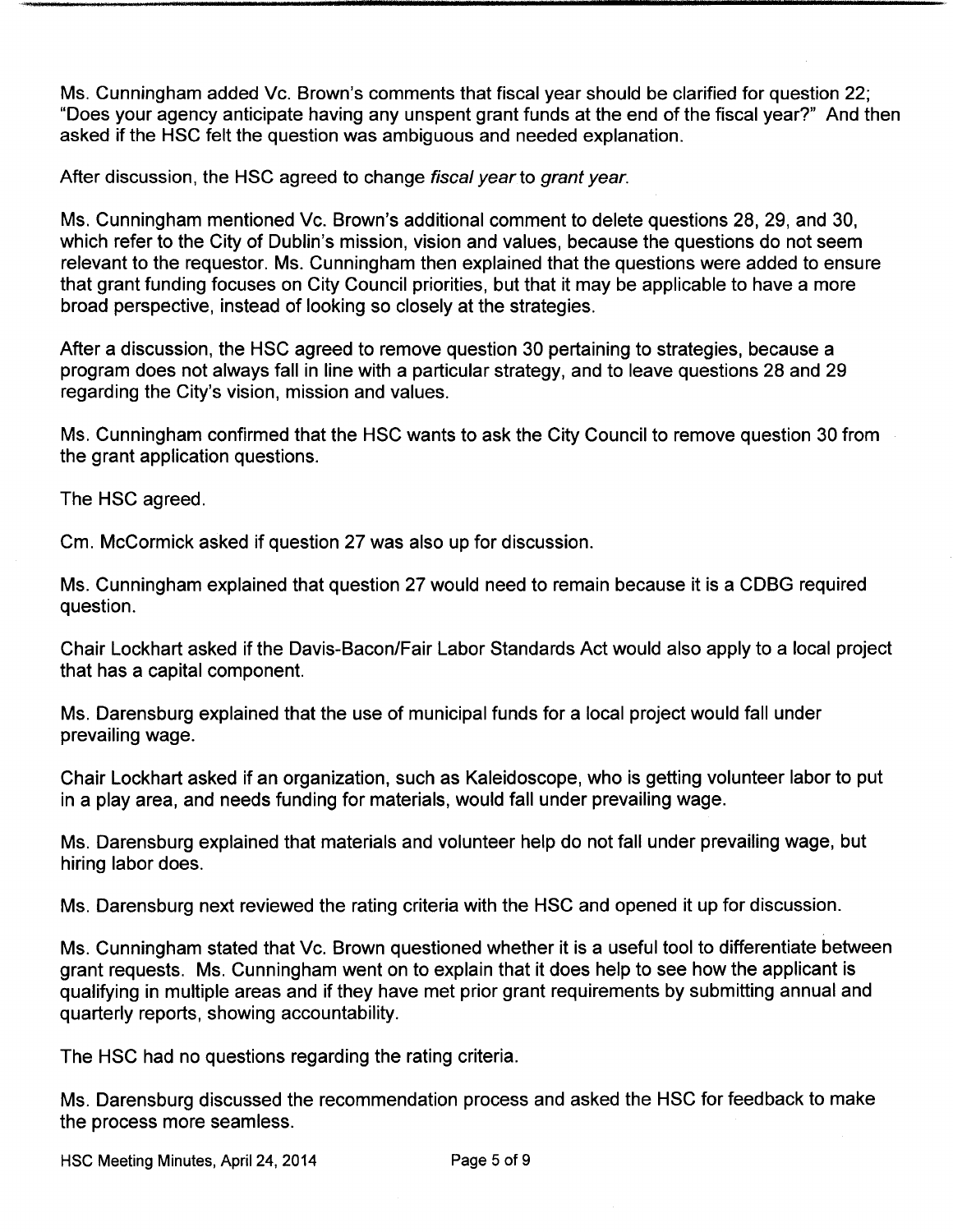Ms. Cunningham added Vc. Brown's comments that fiscal year should be clarified for question 22; Does your agency anticipate having any unspent grant funds at the end of the fiscal year?" And then asked if the HSC felt the question was ambiguous and needed explanation.

After discussion, the HSC agreed to change fiscal year to grant year.

Ms. Cunningham mentioned Vc. Brown's additional comment to delete questions 28, 29, and 30, which refer to the City of Dublin's mission, vision and values, because the questions do not seem relevant to the requestor. Ms. Cunningham then explained that the questions were added to ensure that grant funding focuses on City Council priorities, but that it may be applicable to have a more broad perspective, instead of looking so closely at the strategies.

After a discussion, the HSC agreed to remove question 30 pertaining to strategies, because a program does not always fall in line with a particular strategy, and to leave questions 28 and 29 regarding the City's vision, mission and values.

Ms. Cunningham confirmed that the HSC wants to ask the City Council to remove question 30 from the grant application questions.

The HSC agreed.

Cm. McCormick asked if question 27 was also up for discussion.

Ms. Cunningham explained that question 27 would need to remain because it is a CDBG required question.

Chair Lockhart asked if the Davis- Bacon/Fair Labor Standards Act would also apply to a local project that has a capital component.

Ms. Darensburg explained that the use of municipal funds for a local project would fall under prevailing wage.

Chair Lockhart asked if an organization, such as Kaleidoscope, who is getting volunteer labor to put in a play area, and needs funding for materials, would fall under prevailing wage.

Ms. Darensburg explained that materials and volunteer help do not fall under prevailing wage, but hiring labor does.

Ms. Darensburg next reviewed the rating criteria with the HSC and opened it up for discussion.

Ms. Cunningham stated that Vc. Brown questioned whether it is a useful tool to differentiate between grant requests. Ms. Cunningham went on to explain that it does help to see how the applicant is qualifying in multiple areas and if they have met prior grant requirements by submitting annual and quarterly reports, showing accountability.

The HSC had no questions regarding the rating criteria.

Ms. Darensburg discussed the recommendation process and asked the HSC for feedback to make the process more seamless.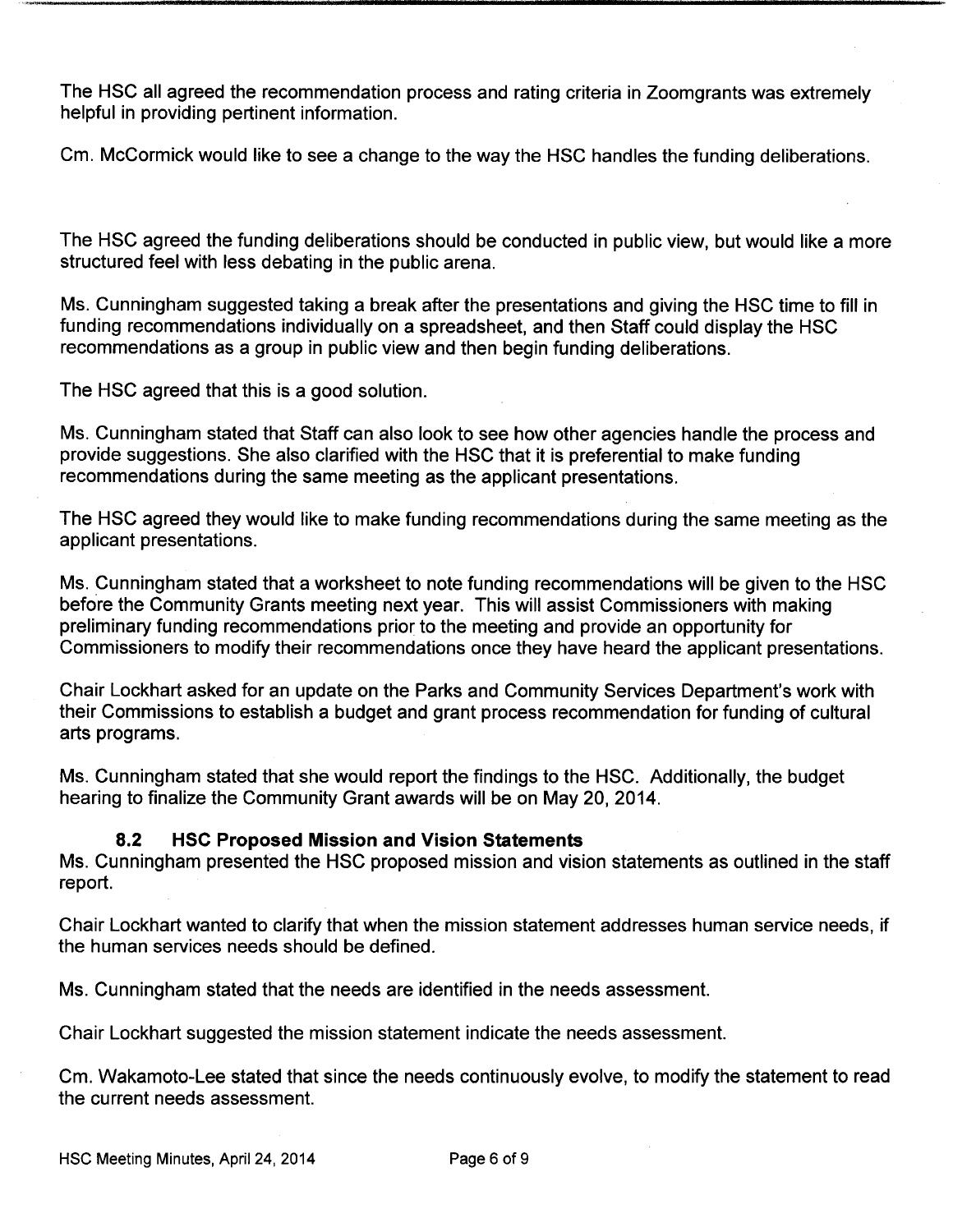The HSC all agreed the recommendation process and rating criteria in Zoomgrants was extremely helpful in providing pertinent information.

Cm. McCormick would like to see a change to the way the HSC handles the funding deliberations.

The HSC agreed the funding deliberations should be conducted in public view, but would like a more structured feel with less debating in the public arena.

Ms. Cunningham suggested taking a break after the presentations and giving the HSC time to fill in funding recommendations individually on a spreadsheet, and then Staff could display the HSC recommendations as a group in public view and then begin funding deliberations.

The HSC agreed that this is a good solution.

Ms. Cunningham stated that Staff can also look to see how other agencies handle the process and provide suggestions. She also clarified with the HSC that it is preferential to make funding recommendations during the same meeting as the applicant presentations.

The HSC agreed they would like to make funding recommendations during the same meeting as the applicant presentations.

Ms. Cunningham stated that a worksheet to note funding recommendations will be given to the HSC before the Community Grants meeting next year. This will assist Commissioners with making preliminary funding recommendations prior to the meeting and provide an opportunity for Commissioners to modify their recommendations once they have heard the applicant presentations.

Chair Lockhart asked for an update on the Parks and Community Services Department's work with their Commissions to establish a budget and grant process recommendation for funding of cultural arts programs.

Ms. Cunningham stated that she would report the findings to the HSC. Additionally, the budget hearing to finalize the Community Grant awards will be on May 20, 2014.

### 8.2 HSC Proposed Mission and Vision Statements

Ms. Cunningham presented the HSC proposed mission and vision statements as outlined in the staff report.

Chair Lockhart wanted to clarify that when the mission statement addresses human service needs, if the human services needs should be defined.

Ms. Cunningham stated that the needs are identified in the needs assessment.

Chair Lockhart suggested the mission statement indicate the needs assessment.

Cm. Wakamoto-Lee stated that since the needs continuously evolve, to modify the statement to read the current needs assessment.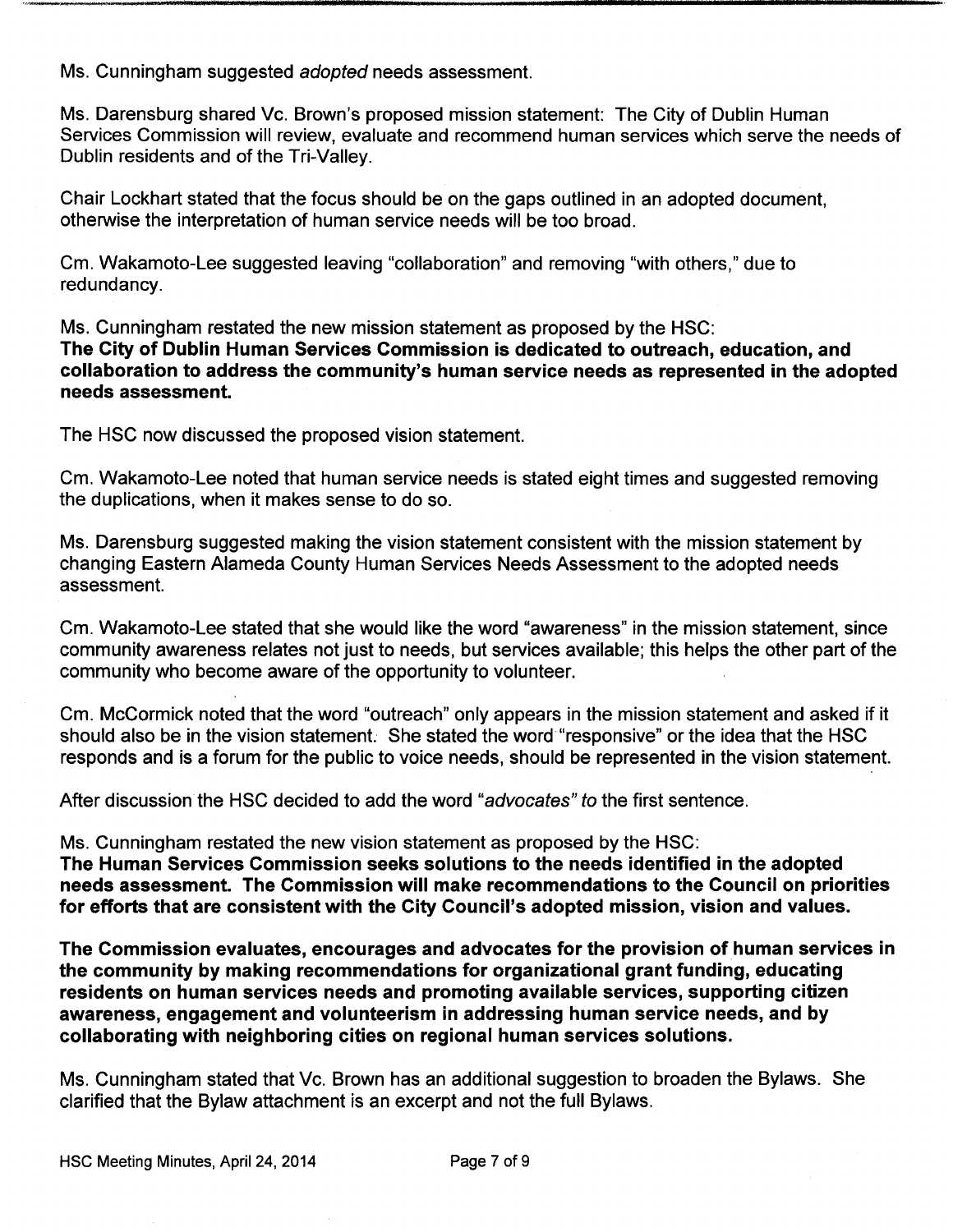Ms. Cunningham suggested adopted needs assessment.

Ms. Darensburg shared Vc. Brown's proposed mission statement: The City of Dublin Human Services Commission will review, evaluate and recommend human services which serve the needs of Dublin residents and of the Tri-Valley.

Chair Lockhart stated that the focus should be on the gaps outlined in an adopted document, otherwise the interpretation of human service needs will be too broad.

Cm. Wakamoto- Lee suggested leaving " collaboration" and removing "with others," due to redundancy.

Ms. Cunningham restated the new mission statement as proposed by the HSC: The City of Dublin Human Services Commission is dedicated to outreach, education, and collaboration to address the community's human service needs as represented in the adopted needs assessment.

The HSC now discussed the proposed vision statement.

Cm. Wakamoto-Lee noted that human service needs is stated eight times and suggested removing the duplications, when it makes sense to do so.

Ms. Darensburg suggested making the vision statement consistent with the mission statement by changing Eastern Alameda County Human Services Needs Assessment to the adopted needs assessment.

Cm. Wakamoto-Lee stated that she would like the word "awareness" in the mission statement, since community awareness relates not just to needs, but services available; this helps the other part of the community who become aware of the opportunity to volunteer.

Cm. McCormick noted that the word "outreach" only appears in the mission statement and asked if it should also be in the vision statement. She stated the word "responsive" or the idea that the HSC responds and is a forum for the public to voice needs, should be represented in the vision statement.

After discussion the HSC decided to add the word "advocates" to the first sentence.

Ms. Cunningham restated the new vision statement as proposed by the HSC:

The Human Services Commission seeks solutions to the needs identified in the adopted needs assessment. The Commission will make recommendations to the Council on priorities for efforts that are consistent with the City Council's adopted mission, vision and values.

The Commission evaluates, encourages and advocates for the provision of human services in the community by making recommendations for organizational grant funding, educating residents on human services needs and promoting available services, supporting citizen awareness, engagement and volunteerism in addressing human service needs, and by collaborating with neighboring cities on regional human services solutions.

Ms. Cunningham stated that Vc. Brown has an additional suggestion to broaden the Bylaws. She clarified that the Bylaw attachment is an excerpt and not the full Bylaws.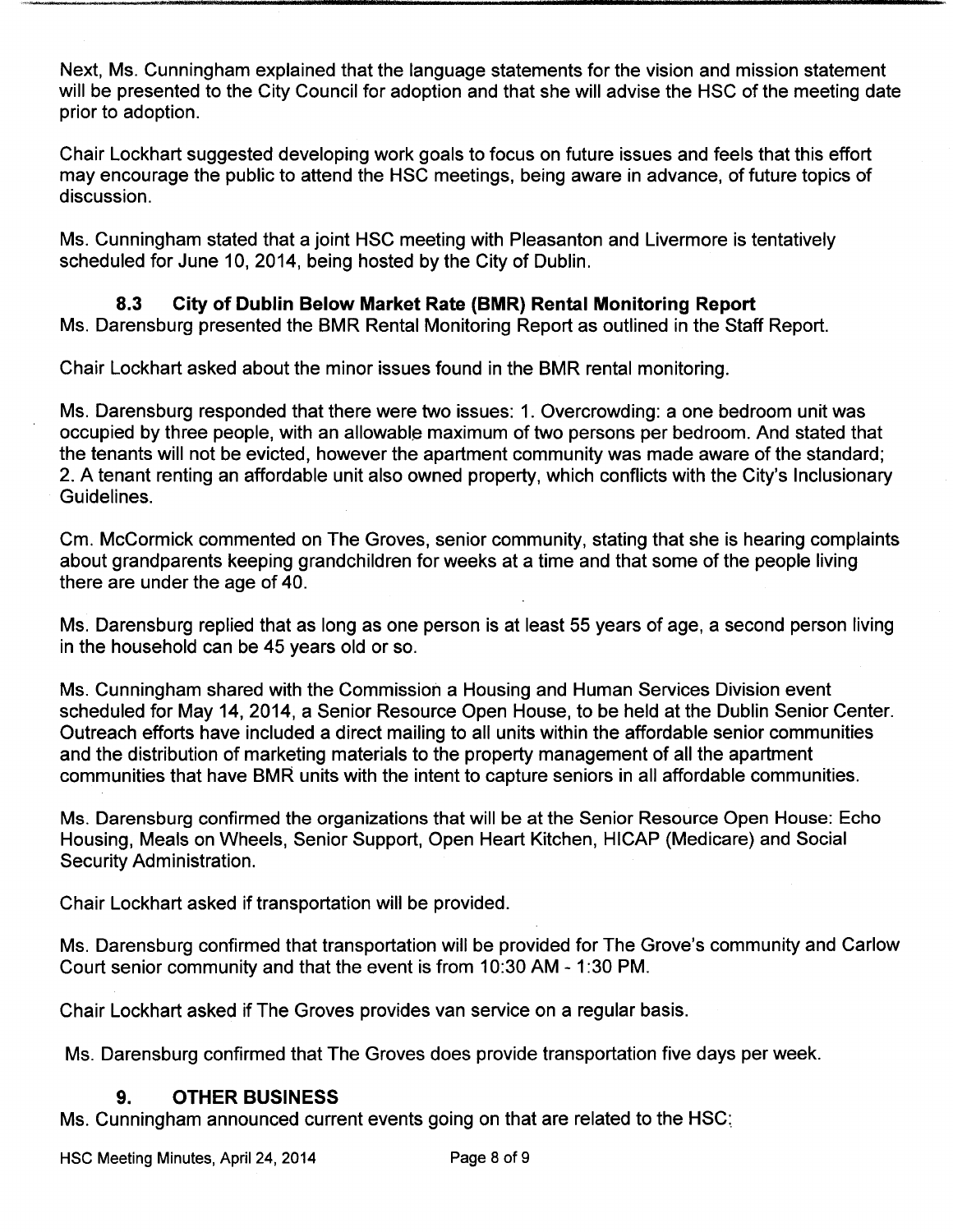Next, Ms. Cunningham explained that the language statements for the vision and mission statement will be presented to the City Council for adoption and that she will advise the HSC of the meeting date prior to adoption.

Chair Lockhart suggested developing work goals to focus on future issues and feels that this effort may encourage the public to attend the HSC meetings, being aware in advance, of future topics of discussion.

Ms. Cunningham stated that a joint HSC meeting with Pleasanton and Livermore is tentatively scheduled for June 10, 2014, being hosted by the City of Dublin.

8.3 City of Dublin Below Market Rate (BMR) Rental Monitoring Report Ms. Darensburg presented the BMR Rental Monitoring Report as outlined in the Staff Report.

Chair Lockhart asked about the minor issues found in the BMR rental monitoring.

Ms. Darensburg responded that there were two issues: 1. Overcrowding: a one bedroom unit was occupied by three people, with an allowable maximum of two persons per bedroom. And stated that the tenants will not be evicted, however the apartment community was made aware of the standard; 2. A tenant renting an affordable unit also owned property, which conflicts with the City's Inclusionary Guidelines.

Cm. McCormick commented on The Groves, senior community, stating that she is hearing complaints about grandparents keeping grandchildren for weeks at a time and that some of the people living there are under the age of 40.

Ms. Darensburg replied that as long as one person is at least 55 years of age, a second person living in the household can be 45 years old or so.

Ms. Cunningham shared with the Commission a Housing and Human Services Division event scheduled for May 14, 2014, a Senior Resource Open House, to be held at the Dublin Senior Center. Outreach efforts have included a direct mailing to all units within the affordable senior communities and the distribution of marketing materials to the property management of all the apartment communities that have BMR units with the intent to capture seniors in all affordable communities.

Ms. Darensburg confirmed the organizations that will be at the Senior Resource Open House: Echo Housing, Meals on Wheels, Senior Support, Open Heart Kitchen, HICAP ( Medicare) and Social Security Administration.

Chair Lockhart asked if transportation will be provided.

Ms. Darensburg confirmed that transportation will be provided for The Grove's community and Carlow Court senior community and that the event is from 10: 30 AM - 1: 30 PM.

Chair Lockhart asked if The Groves provides van service on a regular basis.

Ms. Darensburg confirmed that The Groves does provide transportation five days per week.

# 9. OTHER BUSINESS

Ms. Cunningham announced current events going on that are related to the HSC: